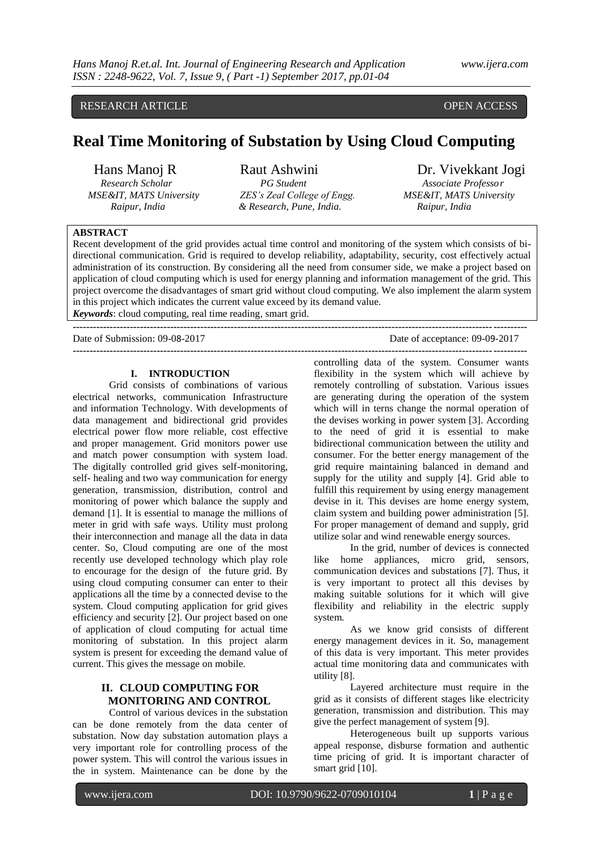# RESEARCH ARTICLE OPEN ACCESS

# **Real Time Monitoring of Substation by Using Cloud Computing**

*Research Scholar PG Student Research Scholar PG Student Research Scholar* **<b>***Professor <b>PG Student RSE&IT, MATS University ZES's Zeal College of Engg. MSE&IT, MATS University ZES's Zeal College of Engg. Raipur, India & Research, Pune, India. Raipur, India*

# Hans Manoj R Raut Ashwini Dr. Vivekkant Jogi

# **ABSTRACT**

Recent development of the grid provides actual time control and monitoring of the system which consists of bidirectional communication. Grid is required to develop reliability, adaptability, security, cost effectively actual administration of its construction. By considering all the need from consumer side, we make a project based on application of cloud computing which is used for energy planning and information management of the grid. This project overcome the disadvantages of smart grid without cloud computing. We also implement the alarm system in this project which indicates the current value exceed by its demand value.

**---------------------------------------------------------------------------------------------------------------------------------------**

*Keywords*: cloud computing, real time reading, smart grid. **---------------------------------------------------------------------------------------------------------------------------------------**

Date of Submission: 09-08-2017 Date of acceptance: 09-09-2017

#### **I. INTRODUCTION**

Grid consists of combinations of various electrical networks, communication Infrastructure and information Technology. With developments of data management and bidirectional grid provides electrical power flow more reliable, cost effective and proper management. Grid monitors power use and match power consumption with system load. The digitally controlled grid gives self-monitoring, self- healing and two way communication for energy generation, transmission, distribution, control and monitoring of power which balance the supply and demand [1]. It is essential to manage the millions of meter in grid with safe ways. Utility must prolong their interconnection and manage all the data in data center. So, Cloud computing are one of the most recently use developed technology which play role to encourage for the design of the future grid. By using cloud computing consumer can enter to their applications all the time by a connected devise to the system. Cloud computing application for grid gives efficiency and security [2]. Our project based on one of application of cloud computing for actual time monitoring of substation. In this project alarm system is present for exceeding the demand value of current. This gives the message on mobile.

# **II. CLOUD COMPUTING FOR MONITORING AND CONTROL**

Control of various devices in the substation can be done remotely from the data center of substation. Now day substation automation plays a very important role for controlling process of the power system. This will control the various issues in the in system. Maintenance can be done by the

controlling data of the system. Consumer wants flexibility in the system which will achieve by remotely controlling of substation. Various issues are generating during the operation of the system which will in terns change the normal operation of the devises working in power system [3]. According to the need of grid it is essential to make bidirectional communication between the utility and consumer. For the better energy management of the grid require maintaining balanced in demand and supply for the utility and supply [4]. Grid able to fulfill this requirement by using energy management devise in it. This devises are home energy system, claim system and building power administration [5]. For proper management of demand and supply, grid utilize solar and wind renewable energy sources.

In the grid, number of devices is connected like home appliances, micro grid, sensors, communication devices and substations [7]. Thus, it is very important to protect all this devises by making suitable solutions for it which will give flexibility and reliability in the electric supply system.

As we know grid consists of different energy management devices in it. So, management of this data is very important. This meter provides actual time monitoring data and communicates with utility [8].

Layered architecture must require in the grid as it consists of different stages like electricity generation, transmission and distribution. This may give the perfect management of system [9].

Heterogeneous built up supports various appeal response, disburse formation and authentic time pricing of grid. It is important character of smart grid [10].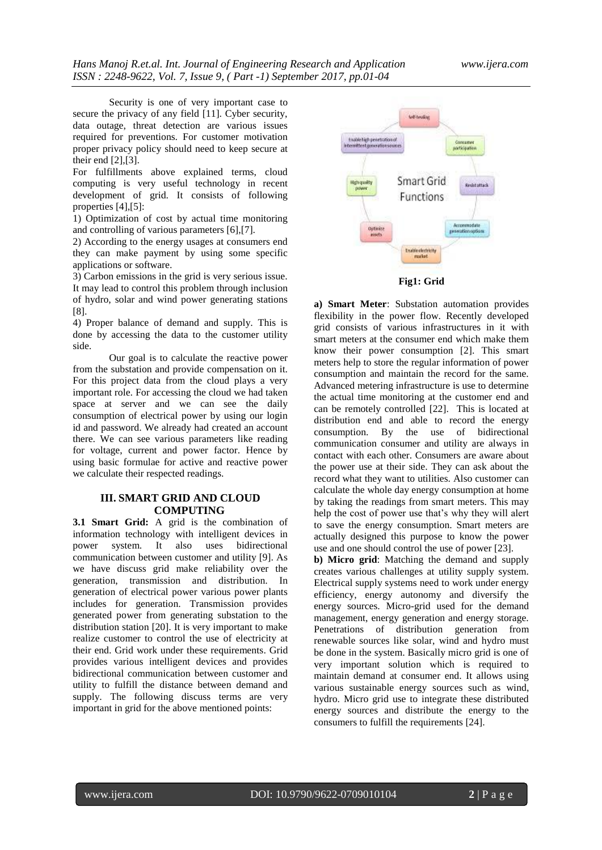Security is one of very important case to secure the privacy of any field [11]. Cyber security, data outage, threat detection are various issues required for preventions. For customer motivation proper privacy policy should need to keep secure at their end [2],[3].

For fulfillments above explained terms, cloud computing is very useful technology in recent development of grid. It consists of following properties [4],[5]:

1) Optimization of cost by actual time monitoring and controlling of various parameters [6],[7].

2) According to the energy usages at consumers end they can make payment by using some specific applications or software.

3) Carbon emissions in the grid is very serious issue. It may lead to control this problem through inclusion of hydro, solar and wind power generating stations [8].

4) Proper balance of demand and supply. This is done by accessing the data to the customer utility side.

Our goal is to calculate the reactive power from the substation and provide compensation on it. For this project data from the cloud plays a very important role. For accessing the cloud we had taken space at server and we can see the daily consumption of electrical power by using our login id and password. We already had created an account there. We can see various parameters like reading for voltage, current and power factor. Hence by using basic formulae for active and reactive power we calculate their respected readings.

# **III. SMART GRID AND CLOUD COMPUTING**

**3.1 Smart Grid:** A grid is the combination of information technology with intelligent devices in power system. It also uses bidirectional communication between customer and utility [9]. As we have discuss grid make reliability over the generation, transmission and distribution. In generation of electrical power various power plants includes for generation. Transmission provides generated power from generating substation to the distribution station [20]. It is very important to make realize customer to control the use of electricity at their end. Grid work under these requirements. Grid provides various intelligent devices and provides bidirectional communication between customer and utility to fulfill the distance between demand and supply. The following discuss terms are very important in grid for the above mentioned points:



**a) Smart Meter**: Substation automation provides flexibility in the power flow. Recently developed grid consists of various infrastructures in it with smart meters at the consumer end which make them know their power consumption [2]. This smart meters help to store the regular information of power consumption and maintain the record for the same. Advanced metering infrastructure is use to determine the actual time monitoring at the customer end and can be remotely controlled [22]. This is located at distribution end and able to record the energy consumption. By the use of bidirectional communication consumer and utility are always in contact with each other. Consumers are aware about the power use at their side. They can ask about the record what they want to utilities. Also customer can calculate the whole day energy consumption at home by taking the readings from smart meters. This may help the cost of power use that's why they will alert to save the energy consumption. Smart meters are actually designed this purpose to know the power use and one should control the use of power [23].

**b) Micro grid**: Matching the demand and supply creates various challenges at utility supply system. Electrical supply systems need to work under energy efficiency, energy autonomy and diversify the energy sources. Micro-grid used for the demand management, energy generation and energy storage. Penetrations of distribution generation from renewable sources like solar, wind and hydro must be done in the system. Basically micro grid is one of very important solution which is required to maintain demand at consumer end. It allows using various sustainable energy sources such as wind, hydro. Micro grid use to integrate these distributed energy sources and distribute the energy to the consumers to fulfill the requirements [24].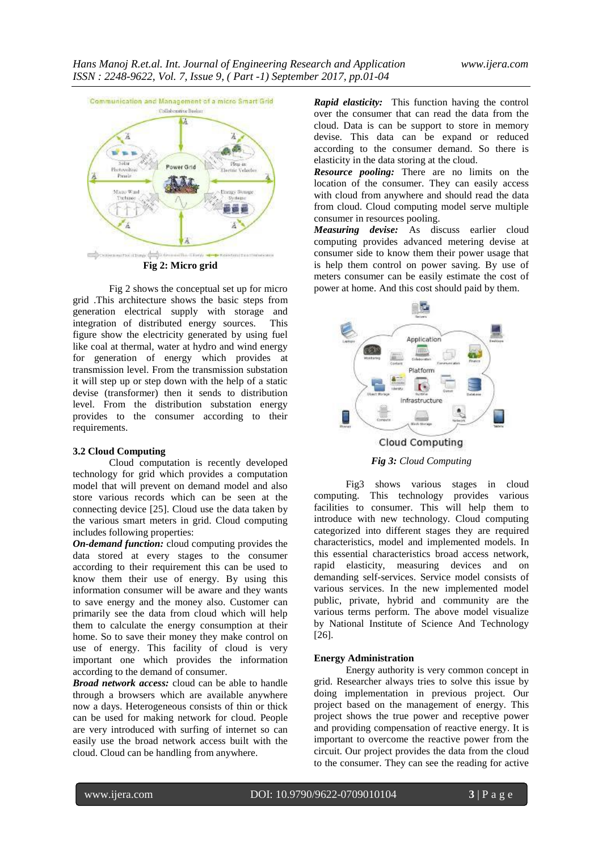

Fig 2 shows the conceptual set up for micro grid .This architecture shows the basic steps from generation electrical supply with storage and integration of distributed energy sources. This figure show the electricity generated by using fuel like coal at thermal, water at hydro and wind energy for generation of energy which provides at transmission level. From the transmission substation it will step up or step down with the help of a static devise (transformer) then it sends to distribution level. From the distribution substation energy provides to the consumer according to their requirements.

### **3.2 Cloud Computing**

Cloud computation is recently developed technology for grid which provides a computation model that will prevent on demand model and also store various records which can be seen at the connecting device [25]. Cloud use the data taken by the various smart meters in grid. Cloud computing includes following properties:

*On-demand function:* cloud computing provides the data stored at every stages to the consumer according to their requirement this can be used to know them their use of energy. By using this information consumer will be aware and they wants to save energy and the money also. Customer can primarily see the data from cloud which will help them to calculate the energy consumption at their home. So to save their money they make control on use of energy. This facility of cloud is very important one which provides the information according to the demand of consumer.

*Broad network access:* cloud can be able to handle through a browsers which are available anywhere now a days. Heterogeneous consists of thin or thick can be used for making network for cloud. People are very introduced with surfing of internet so can easily use the broad network access built with the cloud. Cloud can be handling from anywhere.

*Rapid elasticity:* This function having the control over the consumer that can read the data from the cloud. Data is can be support to store in memory devise. This data can be expand or reduced according to the consumer demand. So there is elasticity in the data storing at the cloud.

*Resource pooling:* There are no limits on the location of the consumer. They can easily access with cloud from anywhere and should read the data from cloud. Cloud computing model serve multiple consumer in resources pooling.

*Measuring devise:* As discuss earlier cloud computing provides advanced metering devise at consumer side to know them their power usage that is help them control on power saving. By use of meters consumer can be easily estimate the cost of power at home. And this cost should paid by them.



*Fig 3: Cloud Computing*

Fig3 shows various stages in cloud computing. This technology provides various facilities to consumer. This will help them to introduce with new technology. Cloud computing categorized into different stages they are required characteristics, model and implemented models. In this essential characteristics broad access network, rapid elasticity, measuring devices and on demanding self-services. Service model consists of various services. In the new implemented model public, private, hybrid and community are the various terms perform. The above model visualize by National Institute of Science And Technology [26].

# **Energy Administration**

Energy authority is very common concept in grid. Researcher always tries to solve this issue by doing implementation in previous project. Our project based on the management of energy. This project shows the true power and receptive power and providing compensation of reactive energy. It is important to overcome the reactive power from the circuit. Our project provides the data from the cloud to the consumer. They can see the reading for active